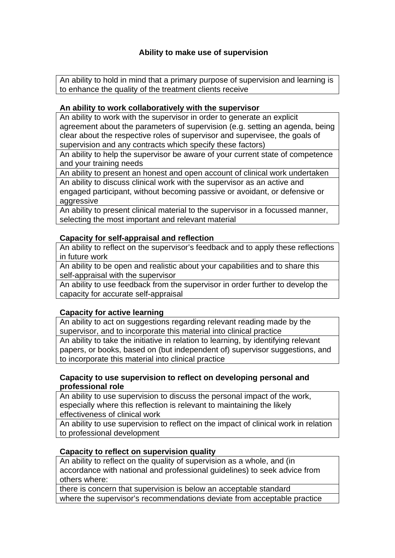# **Ability to make use of supervision**

An ability to hold in mind that a primary purpose of supervision and learning is to enhance the quality of the treatment clients receive

### **An ability to work collaboratively with the supervisor**

An ability to work with the supervisor in order to generate an explicit agreement about the parameters of supervision (e.g. setting an agenda, being clear about the respective roles of supervisor and supervisee, the goals of supervision and any contracts which specify these factors)

An ability to help the supervisor be aware of your current state of competence and your training needs

An ability to present an honest and open account of clinical work undertaken

An ability to discuss clinical work with the supervisor as an active and engaged participant, without becoming passive or avoidant, or defensive or aggressive

An ability to present clinical material to the supervisor in a focussed manner, selecting the most important and relevant material

#### **Capacity for self-appraisal and reflection**

An ability to reflect on the supervisor's feedback and to apply these reflections in future work

An ability to be open and realistic about your capabilities and to share this self-appraisal with the supervisor

An ability to use feedback from the supervisor in order further to develop the capacity for accurate self-appraisal

## **Capacity for active learning**

An ability to act on suggestions regarding relevant reading made by the supervisor, and to incorporate this material into clinical practice An ability to take the initiative in relation to learning, by identifying relevant papers, or books, based on (but independent of) supervisor suggestions, and to incorporate this material into clinical practice

#### **Capacity to use supervision to reflect on developing personal and professional role**

An ability to use supervision to discuss the personal impact of the work, especially where this reflection is relevant to maintaining the likely effectiveness of clinical work

An ability to use supervision to reflect on the impact of clinical work in relation to professional development

## **Capacity to reflect on supervision quality**

An ability to reflect on the quality of supervision as a whole, and (in accordance with national and professional guidelines) to seek advice from others where:

there is concern that supervision is below an acceptable standard where the supervisor's recommendations deviate from acceptable practice